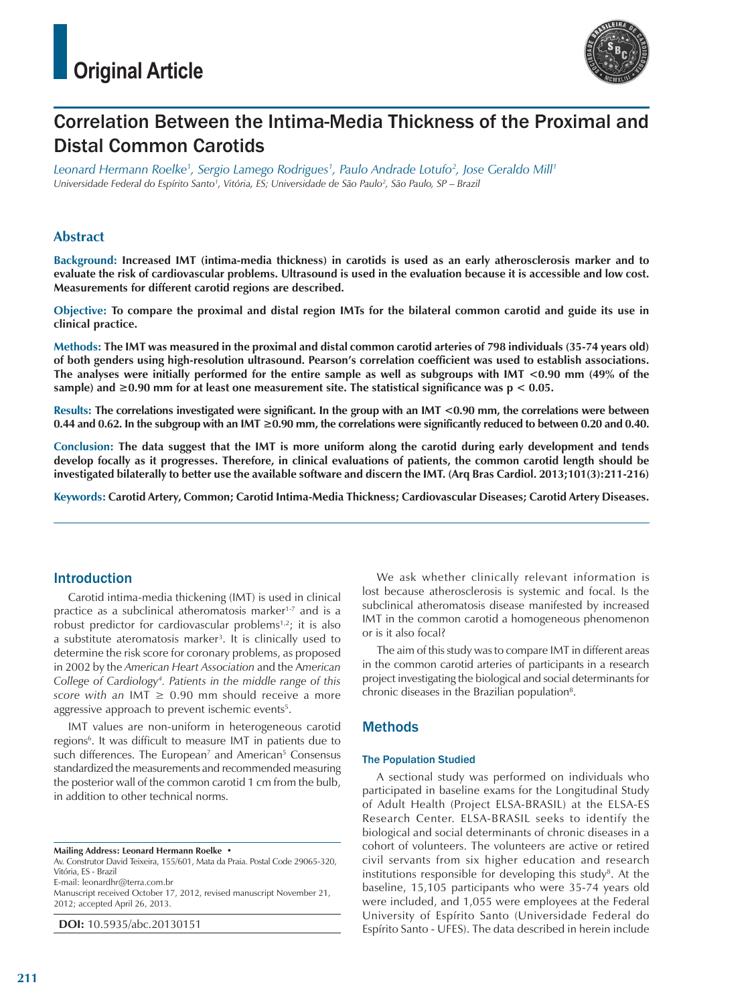

# Correlation Between the Intima‑Media Thickness of the Proximal and Distal Common Carotids

*Leonard Hermann Roelke1 , Sergio Lamego Rodrigues1 , Paulo Andrade Lotufo2 , Jose Geraldo Mill1 Universidade Federal do Espírito Santo1 , Vitória, ES; Universidade de São Paulo2 , São Paulo, SP – Brazil*

## **Abstract**

**Background: Increased IMT (intima-media thickness) in carotids is used as an early atherosclerosis marker and to evaluate the risk of cardiovascular problems. Ultrasound is used in the evaluation because it is accessible and low cost. Measurements for different carotid regions are described.**

**Objective: To compare the proximal and distal region IMTs for the bilateral common carotid and guide its use in clinical practice.**

**Methods: The IMT was measured in the proximal and distal common carotid arteries of 798 individuals (35-74 years old) of both genders using high-resolution ultrasound. Pearson's correlation coefficient was used to establish associations. The analyses were initially performed for the entire sample as well as subgroups with IMT <0.90 mm (49% of the sample) and ≥0.90 mm for at least one measurement site. The statistical significance was p < 0.05.**

**Results: The correlations investigated were significant. In the group with an IMT <0.90 mm, the correlations were between 0.44 and 0.62. In the subgroup with an IMT ≥0.90 mm, the correlations were significantly reduced to between 0.20 and 0.40.**

**Conclusion: The data suggest that the IMT is more uniform along the carotid during early development and tends develop focally as it progresses. Therefore, in clinical evaluations of patients, the common carotid length should be investigated bilaterally to better use the available software and discern the IMT. (Arq Bras Cardiol. 2013;101(3):211-216)**

**Keywords: Carotid Artery, Common; Carotid Intima-Media Thickness; Cardiovascular Diseases; Carotid Artery Diseases.**

## Introduction

Carotid intima-media thickening (IMT) is used in clinical practice as a subclinical atheromatosis marker<sup>1-7</sup> and is a robust predictor for cardiovascular problems $1,2$ ; it is also a substitute ateromatosis marker<sup>3</sup>. It is clinically used to determine the risk score for coronary problems, as proposed in 2002 by the *American Heart Association* and the A*merican College of Cardiology4 . Patients in the middle range of this score with an* IMT ≥ 0.90 mm should receive a more aggressive approach to prevent ischemic events<sup>5</sup>.

IMT values are non-uniform in heterogeneous carotid regions<sup>6</sup>. It was difficult to measure IMT in patients due to such differences. The European<sup>7</sup> and American<sup>5</sup> Consensus standardized the measurements and recommended measuring the posterior wall of the common carotid 1 cm from the bulb, in addition to other technical norms.

**Mailing Address: Leonard Hermann Roelke •**

Av. Construtor David Teixeira, 155/601, Mata da Praia. Postal Code 29065-320, Vitória, ES - Brazil E-mail: leonardhr@terra.com.br

Manuscript received October 17, 2012, revised manuscript November 21, 2012; accepted April 26, 2013.

**DOI:** 10.5935/abc.20130151

We ask whether clinically relevant information is lost because atherosclerosis is systemic and focal. Is the subclinical atheromatosis disease manifested by increased IMT in the common carotid a homogeneous phenomenon or is it also focal?

The aim of this study was to compare IMT in different areas in the common carotid arteries of participants in a research project investigating the biological and social determinants for chronic diseases in the Brazilian population<sup>8</sup>.

## **Methods**

#### The Population Studied

A sectional study was performed on individuals who participated in baseline exams for the Longitudinal Study of Adult Health (Project ELSA-BRASIL) at the ELSA-ES Research Center. ELSA-BRASIL seeks to identify the biological and social determinants of chronic diseases in a cohort of volunteers. The volunteers are active or retired civil servants from six higher education and research institutions responsible for developing this study<sup>8</sup>. At the baseline, 15,105 participants who were 35-74 years old were included, and 1,055 were employees at the Federal University of Espírito Santo (Universidade Federal do Espírito Santo - UFES). The data described in herein include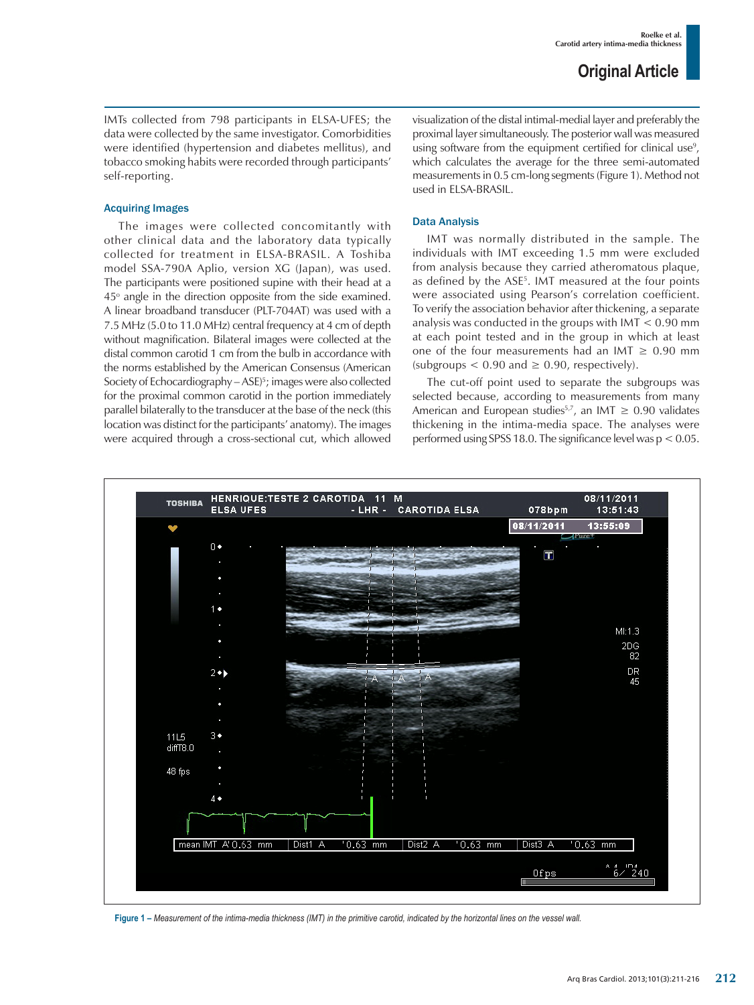IMTs collected from 798 participants in ELSA-UFES; the data were collected by the same investigator. Comorbidities were identified (hypertension and diabetes mellitus), and tobacco smoking habits were recorded through participants' self-reporting.

#### Acquiring Images

The images were collected concomitantly with other clinical data and the laboratory data typically collected for treatment in ELSA-BRASIL. A Toshiba model SSA-790A Aplio, version XG (Japan), was used. The participants were positioned supine with their head at a 45° angle in the direction opposite from the side examined. A linear broadband transducer (PLT-704AT) was used with a 7.5 MHz (5.0 to 11.0 MHz) central frequency at 4 cm of depth without magnification. Bilateral images were collected at the distal common carotid 1 cm from the bulb in accordance with the norms established by the American Consensus (American Society of Echocardiography – ASE)5 ; images were also collected for the proximal common carotid in the portion immediately parallel bilaterally to the transducer at the base of the neck (this location was distinct for the participants' anatomy). The images were acquired through a cross-sectional cut, which allowed

visualization of the distal intimal-medial layer and preferably the proximal layer simultaneously. The posterior wall was measured using software from the equipment certified for clinical use<sup>9</sup>, which calculates the average for the three semi-automated measurements in 0.5 cm-long segments (Figure 1). Method not used in ELSA-BRASIL.

#### Data Analysis

IMT was normally distributed in the sample. The individuals with IMT exceeding 1.5 mm were excluded from analysis because they carried atheromatous plaque, as defined by the ASE5 . IMT measured at the four points were associated using Pearson's correlation coefficient. To verify the association behavior after thickening, a separate analysis was conducted in the groups with IMT < 0.90 mm at each point tested and in the group in which at least one of the four measurements had an IMT  $\geq$  0.90 mm  $(subgroups < 0.90$  and  $\geq 0.90$ , respectively).

The cut-off point used to separate the subgroups was selected because, according to measurements from many American and European studies<sup>5,7</sup>, an IMT  $\geq$  0.90 validates thickening in the intima-media space. The analyses were performed using SPSS 18.0. The significance level was p < 0.05.



**Figure 1 –** *Measurement of the intima-media thickness (IMT) in the primitive carotid, indicated by the horizontal lines on the vessel wall.*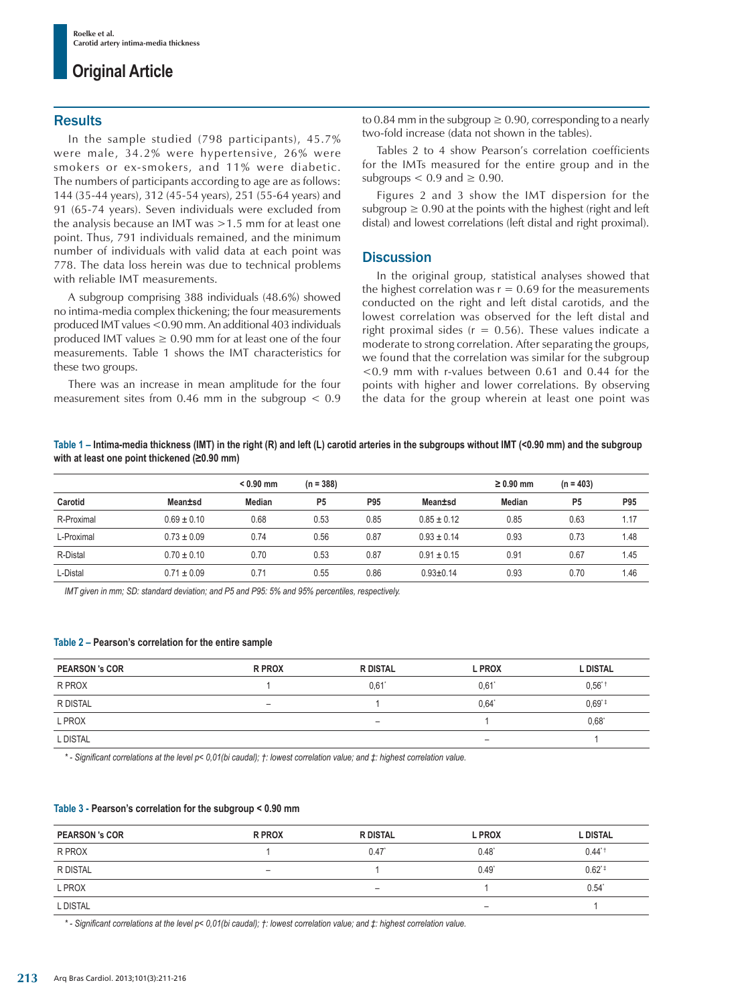## **Original Article**

### **Results**

In the sample studied (798 participants), 45.7% were male, 34.2% were hypertensive, 26% were smokers or ex-smokers, and 11% were diabetic. The numbers of participants according to age are as follows: 144 (35-44 years), 312 (45-54 years), 251 (55-64 years) and 91 (65-74 years). Seven individuals were excluded from the analysis because an IMT was >1.5 mm for at least one point. Thus, 791 individuals remained, and the minimum number of individuals with valid data at each point was 778. The data loss herein was due to technical problems with reliable IMT measurements.

A subgroup comprising 388 individuals (48.6%) showed no intima-media complex thickening; the four measurements produced IMT values <0.90 mm. An additional 403 individuals produced IMT values  $\geq 0.90$  mm for at least one of the four measurements. Table 1 shows the IMT characteristics for these two groups.

There was an increase in mean amplitude for the four measurement sites from  $0.46$  mm in the subgroup  $< 0.9$  to 0.84 mm in the subgroup  $\geq$  0.90, corresponding to a nearly two-fold increase (data not shown in the tables).

Tables 2 to 4 show Pearson's correlation coefficients for the IMTs measured for the entire group and in the subgroups  $< 0.9$  and  $\geq 0.90$ .

Figures 2 and 3 show the IMT dispersion for the subgroup  $\geq 0.90$  at the points with the highest (right and left distal) and lowest correlations (left distal and right proximal).

## **Discussion**

In the original group, statistical analyses showed that the highest correlation was  $r = 0.69$  for the measurements conducted on the right and left distal carotids, and the lowest correlation was observed for the left distal and right proximal sides ( $r = 0.56$ ). These values indicate a moderate to strong correlation. After separating the groups, we found that the correlation was similar for the subgroup <0.9 mm with r-values between 0.61 and 0.44 for the points with higher and lower correlations. By observing the data for the group wherein at least one point was

**Table 1 – Intima-media thickness (IMT) in the right (R) and left (L) carotid arteries in the subgroups without IMT (<0.90 mm) and the subgroup with at least one point thickened (≥0.90 mm)**

|            |                 | $< 0.90$ mm | $(n = 388)$    |      |                 | $\geq 0.90$ mm | $(n = 403)$    |      |
|------------|-----------------|-------------|----------------|------|-----------------|----------------|----------------|------|
| Carotid    | Mean±sd         | Median      | P <sub>5</sub> | P95  | Mean±sd         | <b>Median</b>  | P <sub>5</sub> | P95  |
| R-Proximal | $0.69 \pm 0.10$ | 0.68        | 0.53           | 0.85 | $0.85 \pm 0.12$ | 0.85           | 0.63           | 1.17 |
| L-Proximal | $0.73 \pm 0.09$ | 0.74        | 0.56           | 0.87 | $0.93 \pm 0.14$ | 0.93           | 0.73           | 1.48 |
| R-Distal   | $0.70 \pm 0.10$ | 0.70        | 0.53           | 0.87 | $0.91 \pm 0.15$ | 0.91           | 0.67           | 1.45 |
| L-Distal   | $0.71 \pm 0.09$ | 0.71        | 0.55           | 0.86 | $0.93 \pm 0.14$ | 0.93           | 0.70           | 1.46 |

*IMT given in mm; SD: standard deviation; and P5 and P95: 5% and 95% percentiles, respectively.*

#### **Table 2 – Pearson's correlation for the entire sample**

| <b>PEARSON 's COR</b> | R PROX | <b>R DISTAL</b>          | <b>L PROX</b>            | <b>L DISTAL</b>     |
|-----------------------|--------|--------------------------|--------------------------|---------------------|
| R PROX                |        | $0.61$ <sup>*</sup>      | 0.61'                    | $0.56$ <sup>*</sup> |
| R DISTAL              | -      |                          | 0,64"                    | $0.69^{*}$          |
| L PROX                |        | $\overline{\phantom{a}}$ |                          | $0.68^*$            |
| L DISTAL              |        |                          | $\overline{\phantom{0}}$ |                     |

*\* - Significant correlations at the level p< 0,01(bi caudal); †: lowest correlation value; and ‡: highest correlation value.*

#### **Table 3 - Pearson's correlation for the subgroup < 0.90 mm**

| <b>PEARSON 's COR</b> | <b>R PROX</b> | <b>R DISTAL</b> | <b>L PROX</b>            | <b>L DISTAL</b>     |
|-----------------------|---------------|-----------------|--------------------------|---------------------|
| R PROX                |               | 0.47            | $0.48^*$                 | $0.44$ <sup>*</sup> |
| R DISTAL              | -             |                 | $0.49*$                  | $0.62^{\text{*}}$   |
| L PROX                |               | -               |                          | $0.54^{\circ}$      |
| L DISTAL              |               |                 | $\overline{\phantom{a}}$ |                     |

*\* - Significant correlations at the level p< 0,01(bi caudal); †: lowest correlation value; and ‡: highest correlation value.*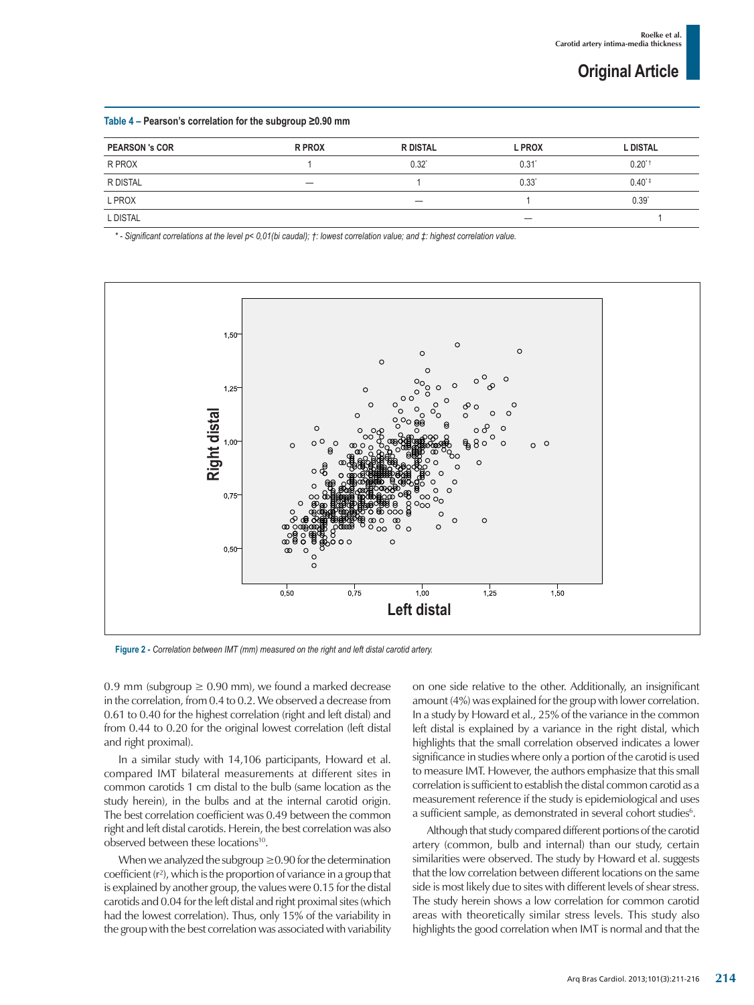**Original Article**

#### **Table 4 – Pearson's correlation for the subgroup ≥0.90 mm**

| <b>PEARSON 's COR</b> | <b>R PROX</b> | <b>R DISTAL</b> | <b>L PROX</b> | <b>L DISTAL</b> |
|-----------------------|---------------|-----------------|---------------|-----------------|
| R PROX                |               | 0.32"           | 0.31          | $0.20^{*}$      |
| R DISTAL              |               |                 | $0.33^*$      | $0.40^{*}$      |
| L PROX                |               |                 |               | $0.39^{*}$      |
| L DISTAL              |               |                 |               |                 |

*\* - Significant correlations at the level p< 0,01(bi caudal); †: lowest correlation value; and ‡: highest correlation value.*



0.9 mm (subgroup  $\geq$  0.90 mm), we found a marked decrease in the correlation, from 0.4 to 0.2. We observed a decrease from 0.61 to 0.40 for the highest correlation (right and left distal) and from 0.44 to 0.20 for the original lowest correlation (left distal and right proximal).

In a similar study with 14,106 participants, Howard et al. compared IMT bilateral measurements at different sites in common carotids 1 cm distal to the bulb (same location as the study herein), in the bulbs and at the internal carotid origin. The best correlation coefficient was 0.49 between the common right and left distal carotids. Herein, the best correlation was also observed between these locations<sup>10</sup>.

When we analyzed the subgroup  $\geq$  0.90 for the determination coefficient (r²), which is the proportion of variance in a group that is explained by another group, the values were 0.15 for the distal carotids and 0.04 for the left distal and right proximal sites (which had the lowest correlation). Thus, only 15% of the variability in the group with the best correlation was associated with variability on one side relative to the other. Additionally, an insignificant amount (4%) was explained for the group with lower correlation. In a study by Howard et al., 25% of the variance in the common left distal is explained by a variance in the right distal, which highlights that the small correlation observed indicates a lower significance in studies where only a portion of the carotid is used to measure IMT. However, the authors emphasize that this small correlation is sufficient to establish the distal common carotid as a measurement reference if the study is epidemiological and uses a sufficient sample, as demonstrated in several cohort studies<sup>6</sup>.

Although that study compared different portions of the carotid artery (common, bulb and internal) than our study, certain similarities were observed. The study by Howard et al. suggests that the low correlation between different locations on the same side is most likely due to sites with different levels of shear stress. The study herein shows a low correlation for common carotid areas with theoretically similar stress levels. This study also highlights the good correlation when IMT is normal and that the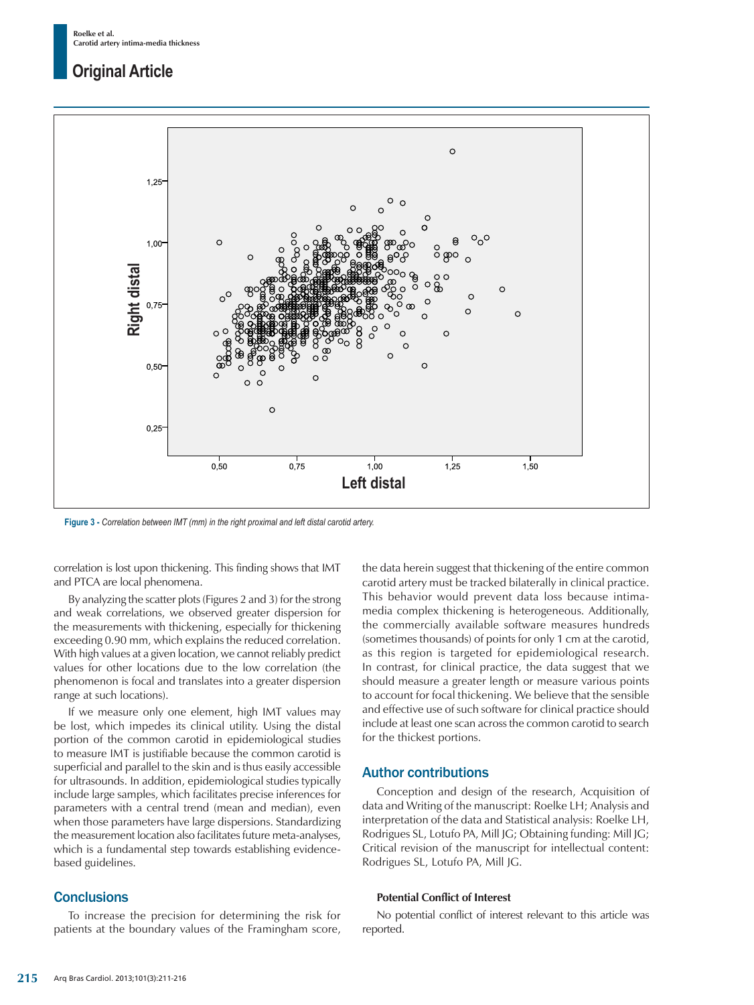## **Original Article**



correlation is lost upon thickening. This finding shows that IMT and PTCA are local phenomena.

By analyzing the scatter plots (Figures 2 and 3) for the strong and weak correlations, we observed greater dispersion for the measurements with thickening, especially for thickening exceeding 0.90 mm, which explains the reduced correlation. With high values at a given location, we cannot reliably predict values for other locations due to the low correlation (the phenomenon is focal and translates into a greater dispersion range at such locations).

If we measure only one element, high IMT values may be lost, which impedes its clinical utility. Using the distal portion of the common carotid in epidemiological studies to measure IMT is justifiable because the common carotid is superficial and parallel to the skin and is thus easily accessible for ultrasounds. In addition, epidemiological studies typically include large samples, which facilitates precise inferences for parameters with a central trend (mean and median), even when those parameters have large dispersions. Standardizing the measurement location also facilitates future meta-analyses, which is a fundamental step towards establishing evidencebased guidelines.

### **Conclusions**

To increase the precision for determining the risk for patients at the boundary values of the Framingham score, the data herein suggest that thickening of the entire common carotid artery must be tracked bilaterally in clinical practice. This behavior would prevent data loss because intimamedia complex thickening is heterogeneous. Additionally, the commercially available software measures hundreds (sometimes thousands) of points for only 1 cm at the carotid, as this region is targeted for epidemiological research. In contrast, for clinical practice, the data suggest that we should measure a greater length or measure various points to account for focal thickening. We believe that the sensible and effective use of such software for clinical practice should include at least one scan across the common carotid to search for the thickest portions.

## Author contributions

Conception and design of the research, Acquisition of data and Writing of the manuscript: Roelke LH; Analysis and interpretation of the data and Statistical analysis: Roelke LH, Rodrigues SL, Lotufo PA, Mill JG; Obtaining funding: Mill JG; Critical revision of the manuscript for intellectual content: Rodrigues SL, Lotufo PA, Mill JG.

#### **Potential Conflict of Interest**

No potential conflict of interest relevant to this article was reported.